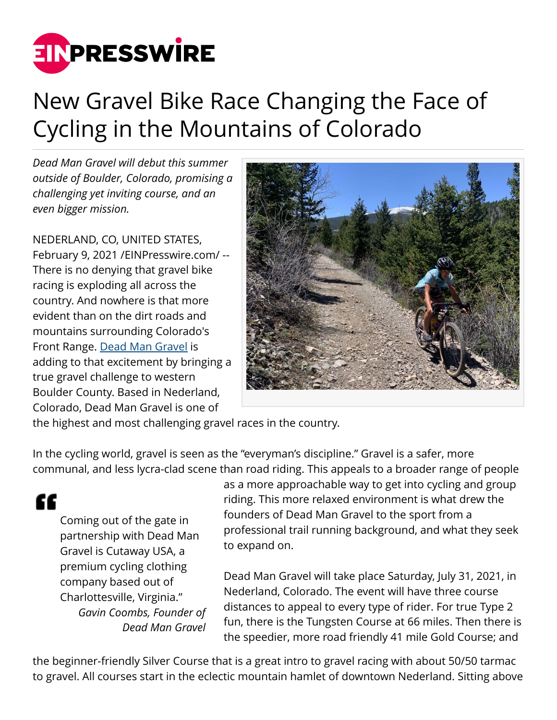

## New Gravel Bike Race Changing the Face of Cycling in the Mountains of Colorado

*Dead Man Gravel will debut this summer outside of Boulder, Colorado, promising a challenging yet inviting course, and an even bigger mission.*

NEDERLAND, CO, UNITED STATES, February 9, 2021 [/EINPresswire.com](http://www.einpresswire.com)/ -- There is no denying that gravel bike racing is exploding all across the country. And nowhere is that more evident than on the dirt roads and mountains surrounding Colorado's Front Range. [Dead Man Gravel](https://www.deadmangravel.com/) is adding to that excitement by bringing a true gravel challenge to western Boulder County. Based in Nederland, Colorado, Dead Man Gravel is one of



the highest and most challenging gravel races in the country.

In the cycling world, gravel is seen as the "everyman's discipline." Gravel is a safer, more communal, and less lycra-clad scene than road riding. This appeals to a broader range of people

££

Coming out of the gate in partnership with Dead Man Gravel is Cutaway USA, a premium cycling clothing company based out of Charlottesville, Virginia." *Gavin Coombs, Founder of Dead Man Gravel*

as a more approachable way to get into cycling and group riding. This more relaxed environment is what drew the founders of Dead Man Gravel to the sport from a professional trail running background, and what they seek to expand on.

Dead Man Gravel will take place Saturday, July 31, 2021, in Nederland, Colorado. The event will have three course distances to appeal to every type of rider. For true Type 2 fun, there is the Tungsten Course at 66 miles. Then there is the speedier, more road friendly 41 mile Gold Course; and

the beginner-friendly Silver Course that is a great intro to gravel racing with about 50/50 tarmac to gravel. All courses start in the eclectic mountain hamlet of downtown Nederland. Sitting above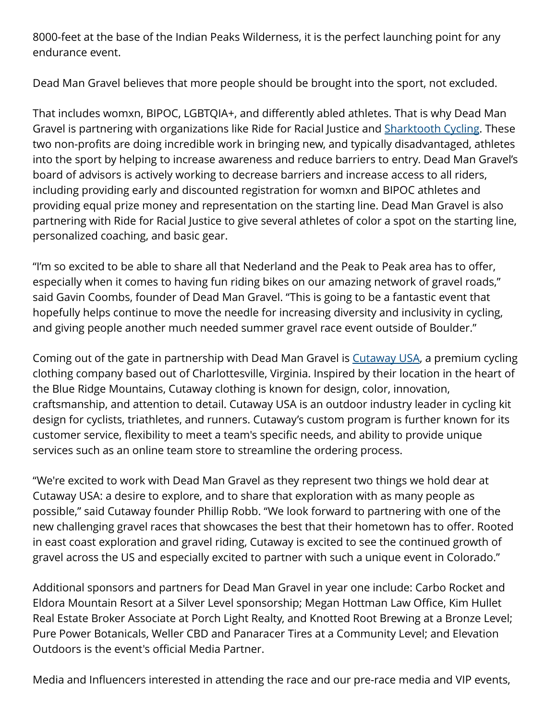8000-feet at the base of the Indian Peaks Wilderness, it is the perfect launching point for any endurance event.

Dead Man Gravel believes that more people should be brought into the sport, not excluded.

That includes womxn, BIPOC, LGBTQIA+, and differently abled athletes. That is why Dead Man Gravel is partnering with organizations like Ride for Racial Justice and **[Sharktooth Cycling](http://sharktoothcycling.com/)**. These two non-profits are doing incredible work in bringing new, and typically disadvantaged, athletes into the sport by helping to increase awareness and reduce barriers to entry. Dead Man Gravel's board of advisors is actively working to decrease barriers and increase access to all riders, including providing early and discounted registration for womxn and BIPOC athletes and providing equal prize money and representation on the starting line. Dead Man Gravel is also partnering with Ride for Racial Justice to give several athletes of color a spot on the starting line, personalized coaching, and basic gear.

"I'm so excited to be able to share all that Nederland and the Peak to Peak area has to offer, especially when it comes to having fun riding bikes on our amazing network of gravel roads," said Gavin Coombs, founder of Dead Man Gravel. "This is going to be a fantastic event that hopefully helps continue to move the needle for increasing diversity and inclusivity in cycling, and giving people another much needed summer gravel race event outside of Boulder."

Coming out of the gate in partnership with Dead Man Gravel is [Cutaway USA,](https://www.cutawayusa.com/) a premium cycling clothing company based out of Charlottesville, Virginia. Inspired by their location in the heart of the Blue Ridge Mountains, Cutaway clothing is known for design, color, innovation, craftsmanship, and attention to detail. Cutaway USA is an outdoor industry leader in cycling kit design for cyclists, triathletes, and runners. Cutaway's custom program is further known for its customer service, flexibility to meet a team's specific needs, and ability to provide unique services such as an online team store to streamline the ordering process.

"We're excited to work with Dead Man Gravel as they represent two things we hold dear at Cutaway USA: a desire to explore, and to share that exploration with as many people as possible," said Cutaway founder Phillip Robb. "We look forward to partnering with one of the new challenging gravel races that showcases the best that their hometown has to offer. Rooted in east coast exploration and gravel riding, Cutaway is excited to see the continued growth of gravel across the US and especially excited to partner with such a unique event in Colorado."

Additional sponsors and partners for Dead Man Gravel in year one include: Carbo Rocket and Eldora Mountain Resort at a Silver Level sponsorship; Megan Hottman Law Office, Kim Hullet Real Estate Broker Associate at Porch Light Realty, and Knotted Root Brewing at a Bronze Level; Pure Power Botanicals, Weller CBD and Panaracer Tires at a Community Level; and Elevation Outdoors is the event's official Media Partner.

Media and Influencers interested in attending the race and our pre-race media and VIP events,